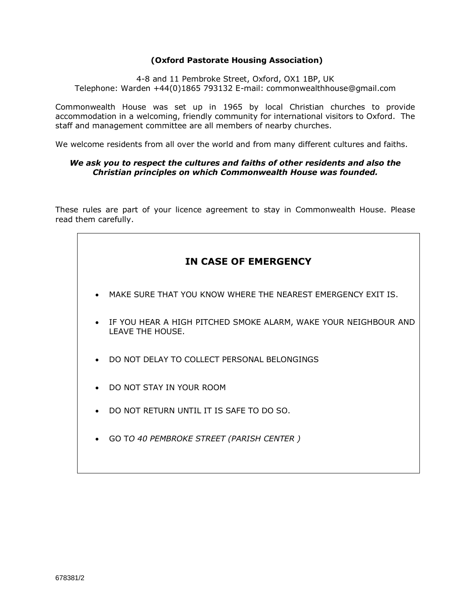# **(Oxford Pastorate Housing Association)**

4-8 and 11 Pembroke Street, Oxford, OX1 1BP, UK Telephone: Warden +44(0)1865 793132 E-mail: commonwealthhouse@gmail.com

Commonwealth House was set up in 1965 by local Christian churches to provide accommodation in a welcoming, friendly community for international visitors to Oxford. The staff and management committee are all members of nearby churches.

We welcome residents from all over the world and from many different cultures and faiths.

## *We ask you to respect the cultures and faiths of other residents and also the Christian principles on which Commonwealth House was founded.*

These rules are part of your licence agreement to stay in Commonwealth House. Please read them carefully.

# **IN CASE OF EMERGENCY**

- MAKE SURE THAT YOU KNOW WHERE THE NEAREST EMERGENCY EXIT IS.
- IF YOU HEAR A HIGH PITCHED SMOKE ALARM, WAKE YOUR NEIGHBOUR AND LEAVE THE HOUSE.
- DO NOT DELAY TO COLLECT PERSONAL BELONGINGS
- DO NOT STAY IN YOUR ROOM
- DO NOT RETURN UNTIL IT IS SAFE TO DO SO.
- GO T*O 40 PEMBROKE STREET (PARISH CENTER )*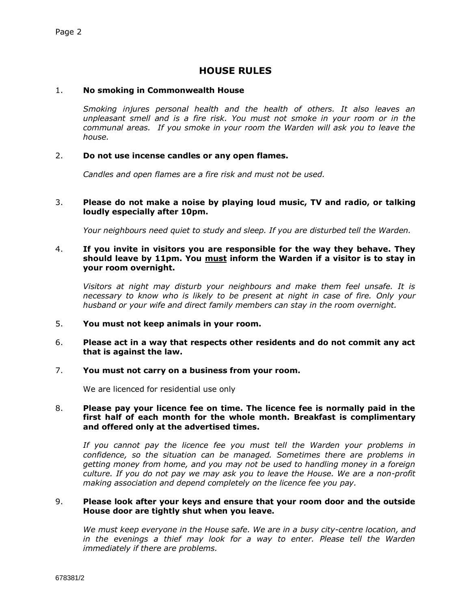# **HOUSE RULES**

#### 1. **No smoking in Commonwealth House**

*Smoking injures personal health and the health of others. It also leaves an unpleasant smell and is a fire risk. You must not smoke in your room or in the communal areas. If you smoke in your room the Warden will ask you to leave the house.* 

#### 2. **Do not use incense candles or any open flames.**

*Candles and open flames are a fire risk and must not be used.*

#### 3. **Please do not make a noise by playing loud music, TV and radio, or talking loudly especially after 10pm.**

*Your neighbours need quiet to study and sleep. If you are disturbed tell the Warden.*

#### 4. **If you invite in visitors you are responsible for the way they behave. They should leave by 11pm. You must inform the Warden if a visitor is to stay in your room overnight.**

*Visitors at night may disturb your neighbours and make them feel unsafe. It is necessary to know who is likely to be present at night in case of fire. Only your husband or your wife and direct family members can stay in the room overnight.* 

5. **You must not keep animals in your room.**

#### 6. **Please act in a way that respects other residents and do not commit any act that is against the law.**

#### 7. **You must not carry on a business from your room.**

We are licenced for residential use only

#### 8. **Please pay your licence fee on time. The licence fee is normally paid in the first half of each month for the whole month. Breakfast is complimentary and offered only at the advertised times.**

*If you cannot pay the licence fee you must tell the Warden your problems in confidence, so the situation can be managed. Sometimes there are problems in getting money from home, and you may not be used to handling money in a foreign culture. If you do not pay we may ask you to leave the House. We are a non-profit making association and depend completely on the licence fee you pay.*

#### 9. **Please look after your keys and ensure that your room door and the outside House door are tightly shut when you leave.**

*We must keep everyone in the House safe. We are in a busy city-centre location, and*  in the evenings a thief may look for a way to enter. Please tell the Warden *immediately if there are problems.*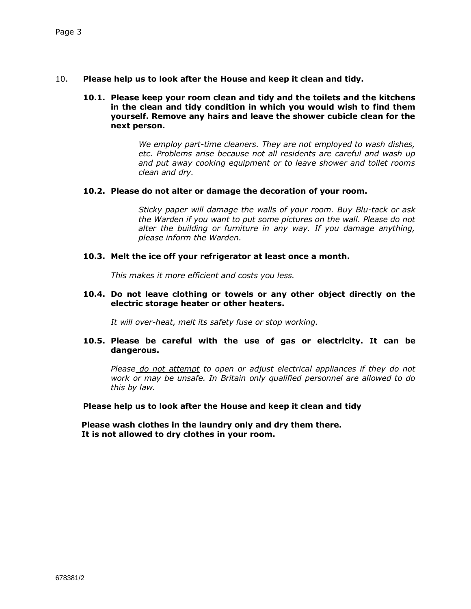- 10. **Please help us to look after the House and keep it clean and tidy.**
	- **10.1. Please keep your room clean and tidy and the toilets and the kitchens in the clean and tidy condition in which you would wish to find them yourself. Remove any hairs and leave the shower cubicle clean for the next person.**

*We employ part-time cleaners. They are not employed to wash dishes, etc. Problems arise because not all residents are careful and wash up and put away cooking equipment or to leave shower and toilet rooms clean and dry.*

#### **10.2. Please do not alter or damage the decoration of your room.**

*Sticky paper will damage the walls of your room. Buy Blu-tack or ask the Warden if you want to put some pictures on the wall. Please do not alter the building or furniture in any way. If you damage anything, please inform the Warden.*

#### **10.3. Melt the ice off your refrigerator at least once a month.**

*This makes it more efficient and costs you less.*

#### **10.4. Do not leave clothing or towels or any other object directly on the electric storage heater or other heaters.**

*It will over-heat, melt its safety fuse or stop working.*

## **10.5. Please be careful with the use of gas or electricity. It can be dangerous.**

*Please do not attempt to open or adjust electrical appliances if they do not work or may be unsafe. In Britain only qualified personnel are allowed to do this by law.*

**Please help us to look after the House and keep it clean and tidy**

 **Please wash clothes in the laundry only and dry them there. It is not allowed to dry clothes in your room.**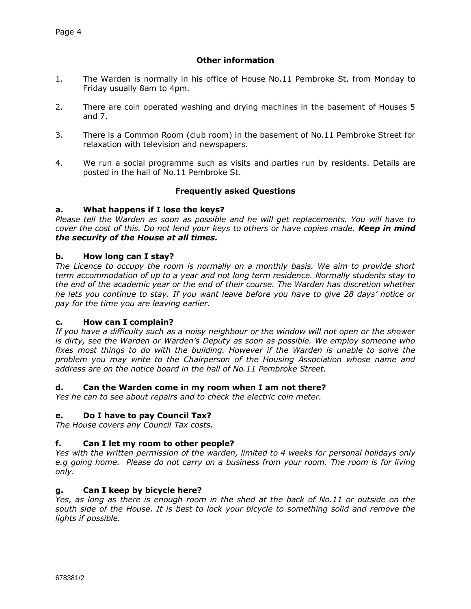# **Other information**

- 1. The Warden is normally in his office of House No.11 Pembroke St. from Monday to Friday usually 8am to 4pm.
- 2. There are coin operated washing and drying machines in the basement of Houses 5 and 7.
- 3. There is a Common Room (club room) in the basement of No.11 Pembroke Street for relaxation with television and newspapers.
- 4. We run a social programme such as visits and parties run by residents. Details are posted in the hall of No.11 Pembroke St.

# **Frequently asked Questions**

## **a. What happens if I lose the keys?**

*Please tell the Warden as soon as possible and he will get replacements. You will have to cover the cost of this. Do not lend your keys to others or have copies made. Keep in mind the security of the House at all times.*

## **b. How long can I stay?**

*The Licence to occupy the room is normally on a monthly basis. We aim to provide short term accommodation of up to a year and not long term residence. Normally students stay to the end of the academic year or the end of their course. The Warden has discretion whether he lets you continue to stay. If you want leave before you have to give 28 days' notice or pay for the time you are leaving earlier.* 

## **c. How can I complain?**

*If you have a difficulty such as a noisy neighbour or the window will not open or the shower is dirty, see the Warden or Warden's Deputy as soon as possible. We employ someone who*  fixes most things to do with the building. However if the Warden is unable to solve the *problem you may write to the Chairperson of the Housing Association whose name and address are on the notice board in the hall of No.11 Pembroke Street.*

## **d. Can the Warden come in my room when I am not there?**

*Yes he can to see about repairs and to check the electric coin meter.*

## **e. Do I have to pay Council Tax?**

*The House covers any Council Tax costs.*

## **f. Can I let my room to other people?**

*Yes with the written permission of the warden, limited to 4 weeks for personal holidays only e.g going home. Please do not carry on a business from your room. The room is for living only.*

## **g. Can I keep by bicycle here?**

*Yes, as long as there is enough room in the shed at the back of No.11 or outside on the south side of the House. It is best to lock your bicycle to something solid and remove the lights if possible.*